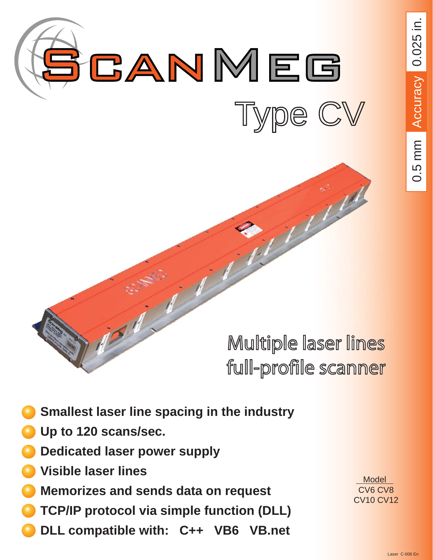

# Multiple laser lines full-profile scanner

- **Smallest laser line spacing in the industry**
- **Up to 120 scans/sec.**
- **Dedicated laser power supply**
- **Visible laser lines**
- **Memorizes and sends data on request**
- **TCP/IP protocol via simple function (DLL)**
- **DLL compatible with: C++ VB6 VB.net**

 Model CV6 CV8 CV10 CV12 0.5 mm Accuracy 0.025 in. 0.5 mm Accuracy 0.025 in.